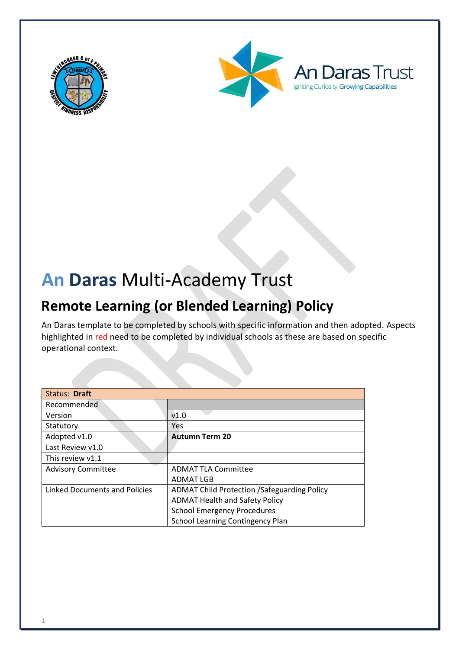





# **An Daras** Multi-Academy Trust

# **Remote Learning (or Blended Learning) Policy**

An Daras template to be completed by schools with specific information and then adopted. Aspects highlighted in red need to be completed by individual schools as these are based on specific operational context.

| Status: Draft                 |                                                    |
|-------------------------------|----------------------------------------------------|
| Recommended                   |                                                    |
| Version                       | V1.0                                               |
| Statutory                     | <b>Yes</b>                                         |
| Adopted v1.0                  | <b>Autumn Term 20</b>                              |
| Last Review v1.0              |                                                    |
| This review v1.1              |                                                    |
| <b>Advisory Committee</b>     | <b>ADMAT TLA Committee</b>                         |
|                               | <b>ADMAT LGB</b>                                   |
| Linked Documents and Policies | <b>ADMAT Child Protection /Safeguarding Policy</b> |
|                               | <b>ADMAT Health and Safety Policy</b>              |
|                               | <b>School Emergency Procedures</b>                 |
|                               | <b>School Learning Contingency Plan</b>            |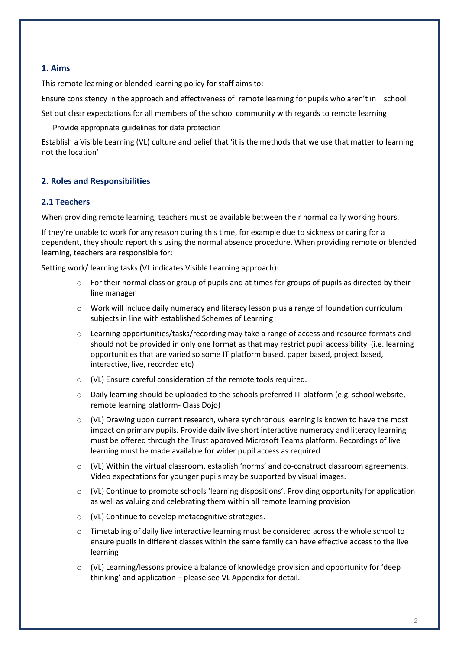# **1. Aims**

This remote learning or blended learning policy for staff aims to:

Ensure consistency in the approach and effectiveness of remote learning for pupils who aren't in school

Set out clear expectations for all members of the school community with regards to remote learning

Provide appropriate guidelines for data protection

Establish a Visible Learning (VL) culture and belief that 'it is the methods that we use that matter to learning not the location'

# **2. Roles and Responsibilities**

#### **2.1 Teachers**

When providing remote learning, teachers must be available between their normal daily working hours.

If they're unable to work for any reason during this time, for example due to sickness or caring for a dependent, they should report this using the normal absence procedure. When providing remote or blended learning, teachers are responsible for:

Setting work/ learning tasks (VL indicates Visible Learning approach):

- $\circ$  For their normal class or group of pupils and at times for groups of pupils as directed by their line manager
- o Work will include daily numeracy and literacy lesson plus a range of foundation curriculum subjects in line with established Schemes of Learning
- o Learning opportunities/tasks/recording may take a range of access and resource formats and should not be provided in only one format as that may restrict pupil accessibility (i.e. learning opportunities that are varied so some IT platform based, paper based, project based, interactive, live, recorded etc)
- o (VL) Ensure careful consideration of the remote tools required.
- $\circ$  Daily learning should be uploaded to the schools preferred IT platform (e.g. school website, remote learning platform- Class Dojo)
- $\circ$  (VL) Drawing upon current research, where synchronous learning is known to have the most impact on primary pupils. Provide daily live short interactive numeracy and literacy learning must be offered through the Trust approved Microsoft Teams platform. Recordings of live learning must be made available for wider pupil access as required
- o (VL) Within the virtual classroom, establish 'norms' and co-construct classroom agreements. Video expectations for younger pupils may be supported by visual images.
- $\circ$  (VL) Continue to promote schools 'learning dispositions'. Providing opportunity for application as well as valuing and celebrating them within all remote learning provision
- o (VL) Continue to develop metacognitive strategies.
- $\circ$  Timetabling of daily live interactive learning must be considered across the whole school to ensure pupils in different classes within the same family can have effective access to the live learning
- $\circ$  (VL) Learning/lessons provide a balance of knowledge provision and opportunity for 'deep thinking' and application – please see VL Appendix for detail.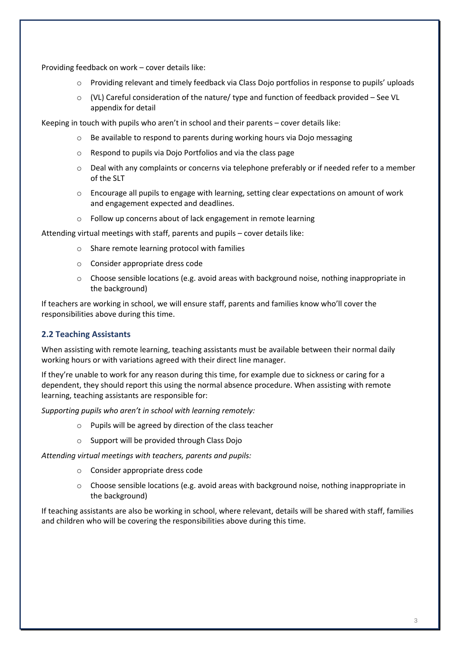Providing feedback on work – cover details like:

- o Providing relevant and timely feedback via Class Dojo portfolios in response to pupils' uploads
- $\circ$  (VL) Careful consideration of the nature/ type and function of feedback provided See VL appendix for detail

Keeping in touch with pupils who aren't in school and their parents – cover details like:

- o Be available to respond to parents during working hours via Dojo messaging
- o Respond to pupils via Dojo Portfolios and via the class page
- o Deal with any complaints or concerns via telephone preferably or if needed refer to a member of the SLT
- o Encourage all pupils to engage with learning, setting clear expectations on amount of work and engagement expected and deadlines.
- o Follow up concerns about of lack engagement in remote learning

Attending virtual meetings with staff, parents and pupils – cover details like:

- o Share remote learning protocol with families
- o Consider appropriate dress code
- $\circ$  Choose sensible locations (e.g. avoid areas with background noise, nothing inappropriate in the background)

If teachers are working in school, we will ensure staff, parents and families know who'll cover the responsibilities above during this time.

# **2.2 Teaching Assistants**

When assisting with remote learning, teaching assistants must be available between their normal daily working hours or with variations agreed with their direct line manager.

If they're unable to work for any reason during this time, for example due to sickness or caring for a dependent, they should report this using the normal absence procedure. When assisting with remote learning, teaching assistants are responsible for:

*Supporting pupils who aren't in school with learning remotely:*

- o Pupils will be agreed by direction of the class teacher
- o Support will be provided through Class Dojo

*Attending virtual meetings with teachers, parents and pupils:*

- o Consider appropriate dress code
- $\circ$  Choose sensible locations (e.g. avoid areas with background noise, nothing inappropriate in the background)

If teaching assistants are also be working in school, where relevant, details will be shared with staff, families and children who will be covering the responsibilities above during this time.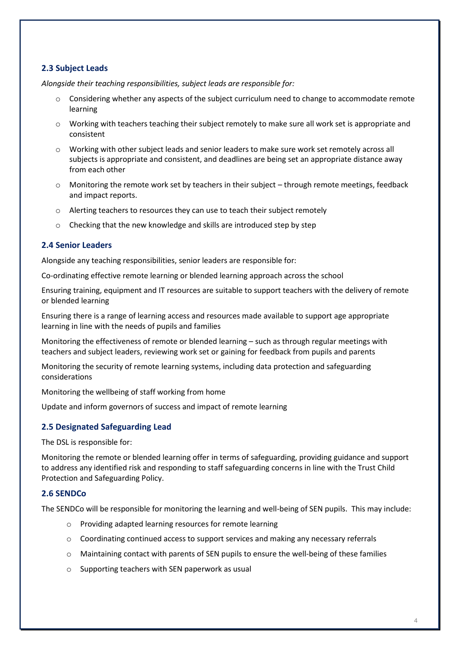# **2.3 Subject Leads**

*Alongside their teaching responsibilities, subject leads are responsible for:*

- $\circ$  Considering whether any aspects of the subject curriculum need to change to accommodate remote learning
- $\circ$  Working with teachers teaching their subject remotely to make sure all work set is appropriate and consistent
- o Working with other subject leads and senior leaders to make sure work set remotely across all subjects is appropriate and consistent, and deadlines are being set an appropriate distance away from each other
- $\circ$  Monitoring the remote work set by teachers in their subject through remote meetings, feedback and impact reports.
- o Alerting teachers to resources they can use to teach their subject remotely
- o Checking that the new knowledge and skills are introduced step by step

# **2.4 Senior Leaders**

Alongside any teaching responsibilities, senior leaders are responsible for:

Co-ordinating effective remote learning or blended learning approach across the school

Ensuring training, equipment and IT resources are suitable to support teachers with the delivery of remote or blended learning

Ensuring there is a range of learning access and resources made available to support age appropriate learning in line with the needs of pupils and families

Monitoring the effectiveness of remote or blended learning – such as through regular meetings with teachers and subject leaders, reviewing work set or gaining for feedback from pupils and parents

Monitoring the security of remote learning systems, including data protection and safeguarding considerations

Monitoring the wellbeing of staff working from home

Update and inform governors of success and impact of remote learning

# **2.5 Designated Safeguarding Lead**

The DSL is responsible for:

Monitoring the remote or blended learning offer in terms of safeguarding, providing guidance and support to address any identified risk and responding to staff safeguarding concerns in line with the Trust Child Protection and Safeguarding Policy.

#### **2.6 SENDCo**

The SENDCo will be responsible for monitoring the learning and well-being of SEN pupils. This may include:

- o Providing adapted learning resources for remote learning
- $\circ$  Coordinating continued access to support services and making any necessary referrals
- $\circ$  Maintaining contact with parents of SEN pupils to ensure the well-being of these families
- o Supporting teachers with SEN paperwork as usual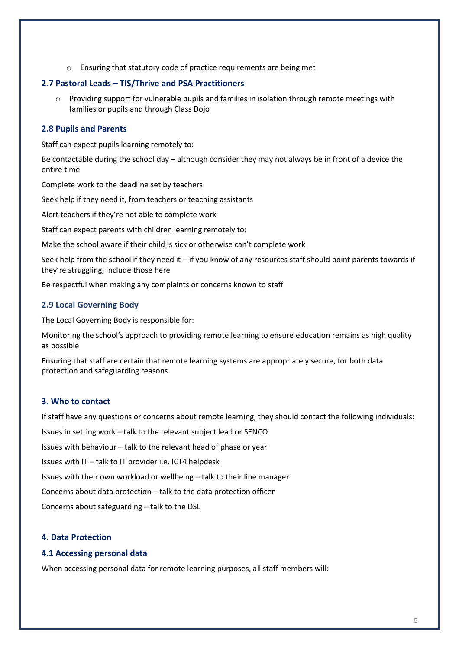o Ensuring that statutory code of practice requirements are being met

# **2.7 Pastoral Leads – TIS/Thrive and PSA Practitioners**

o Providing support for vulnerable pupils and families in isolation through remote meetings with families or pupils and through Class Dojo

# **2.8 Pupils and Parents**

Staff can expect pupils learning remotely to:

Be contactable during the school day – although consider they may not always be in front of a device the entire time

Complete work to the deadline set by teachers

Seek help if they need it, from teachers or teaching assistants

Alert teachers if they're not able to complete work

Staff can expect parents with children learning remotely to:

Make the school aware if their child is sick or otherwise can't complete work

Seek help from the school if they need it – if you know of any resources staff should point parents towards if they're struggling, include those here

Be respectful when making any complaints or concerns known to staff

# **2.9 Local Governing Body**

The Local Governing Body is responsible for:

Monitoring the school's approach to providing remote learning to ensure education remains as high quality as possible

Ensuring that staff are certain that remote learning systems are appropriately secure, for both data protection and safeguarding reasons

# **3. Who to contact**

If staff have any questions or concerns about remote learning, they should contact the following individuals:

Issues in setting work – talk to the relevant subject lead or SENCO

Issues with behaviour – talk to the relevant head of phase or year

Issues with IT – talk to IT provider i.e. ICT4 helpdesk

Issues with their own workload or wellbeing – talk to their line manager

Concerns about data protection – talk to the data protection officer

Concerns about safeguarding – talk to the DSL

# **4. Data Protection**

# **4.1 Accessing personal data**

When accessing personal data for remote learning purposes, all staff members will: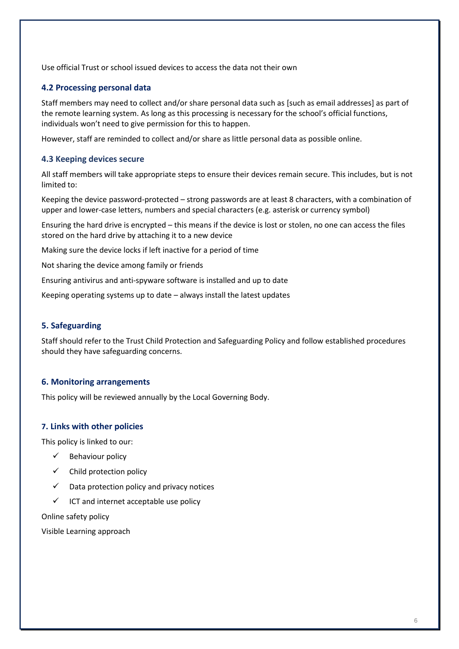Use official Trust or school issued devices to access the data not their own

### **4.2 Processing personal data**

Staff members may need to collect and/or share personal data such as [such as email addresses] as part of the remote learning system. As long as this processing is necessary for the school's official functions, individuals won't need to give permission for this to happen.

However, staff are reminded to collect and/or share as little personal data as possible online.

### **4.3 Keeping devices secure**

All staff members will take appropriate steps to ensure their devices remain secure. This includes, but is not limited to:

Keeping the device password-protected – strong passwords are at least 8 characters, with a combination of upper and lower-case letters, numbers and special characters (e.g. asterisk or currency symbol)

Ensuring the hard drive is encrypted – this means if the device is lost or stolen, no one can access the files stored on the hard drive by attaching it to a new device

Making sure the device locks if left inactive for a period of time

Not sharing the device among family or friends

Ensuring antivirus and anti-spyware software is installed and up to date

Keeping operating systems up to date – always install the latest updates

### **5. Safeguarding**

Staff should refer to the Trust Child Protection and Safeguarding Policy and follow established procedures should they have safeguarding concerns.

#### **6. Monitoring arrangements**

This policy will be reviewed annually by the Local Governing Body.

#### **7. Links with other policies**

This policy is linked to our:

- $\checkmark$  Behaviour policy
- $\checkmark$  Child protection policy
- $\checkmark$  Data protection policy and privacy notices
- $\checkmark$  ICT and internet acceptable use policy

Online safety policy

Visible Learning approach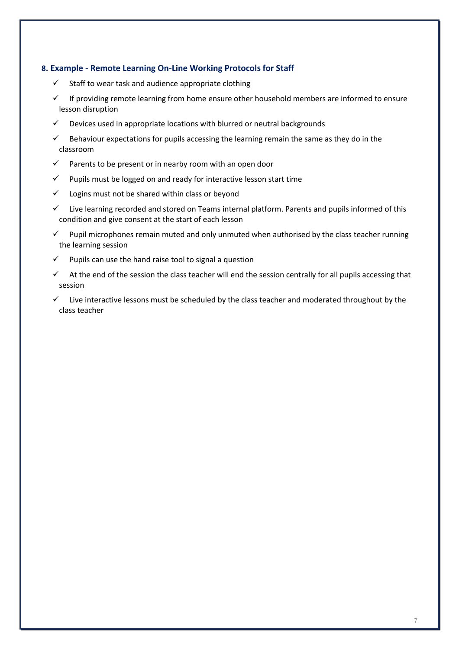# **8. Example - Remote Learning On-Line Working Protocols for Staff**

- $\checkmark$  Staff to wear task and audience appropriate clothing
- If providing remote learning from home ensure other household members are informed to ensure lesson disruption
- $\checkmark$  Devices used in appropriate locations with blurred or neutral backgrounds
- $\checkmark$  Behaviour expectations for pupils accessing the learning remain the same as they do in the classroom
- $\checkmark$  Parents to be present or in nearby room with an open door
- $\checkmark$  Pupils must be logged on and ready for interactive lesson start time
- $\checkmark$  Logins must not be shared within class or beyond
- ✓ Live learning recorded and stored on Teams internal platform. Parents and pupils informed of this condition and give consent at the start of each lesson
- $\checkmark$  Pupil microphones remain muted and only unmuted when authorised by the class teacher running the learning session
- $\checkmark$  Pupils can use the hand raise tool to signal a question
- $\checkmark$  At the end of the session the class teacher will end the session centrally for all pupils accessing that session
- $\checkmark$  Live interactive lessons must be scheduled by the class teacher and moderated throughout by the class teacher